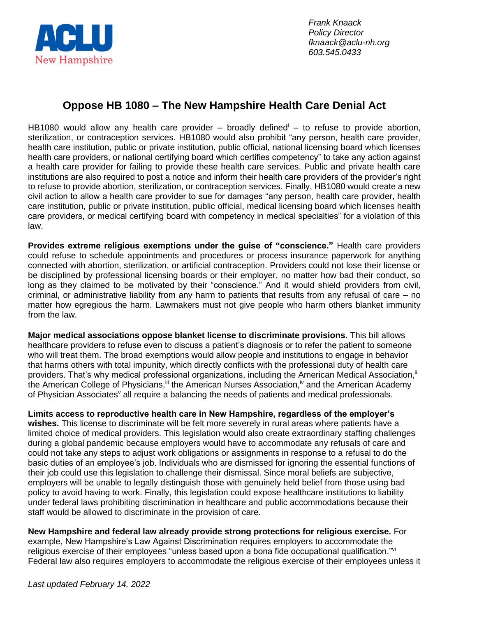

*Frank Knaack Policy Director fknaack@aclu-nh.org 603.545.0433*

## **Oppose HB 1080 – The New Hampshire Health Care Denial Act**

HB1080 would allow any health care provider – broadly defined – to refuse to provide abortion, sterilization, or contraception services. HB1080 would also prohibit "any person, health care provider, health care institution, public or private institution, public official, national licensing board which licenses health care providers, or national certifying board which certifies competency" to take any action against a health care provider for failing to provide these health care services. Public and private health care institutions are also required to post a notice and inform their health care providers of the provider's right to refuse to provide abortion, sterilization, or contraception services. Finally, HB1080 would create a new civil action to allow a health care provider to sue for damages "any person, health care provider, health care institution, public or private institution, public official, medical licensing board which licenses health care providers, or medical certifying board with competency in medical specialties" for a violation of this law.

**Provides extreme religious exemptions under the guise of "conscience."** Health care providers could refuse to schedule appointments and procedures or process insurance paperwork for anything connected with abortion, sterilization, or artificial contraception. Providers could not lose their license or be disciplined by professional licensing boards or their employer, no matter how bad their conduct, so long as they claimed to be motivated by their "conscience." And it would shield providers from civil, criminal, or administrative liability from any harm to patients that results from any refusal of care – no matter how egregious the harm. Lawmakers must not give people who harm others blanket immunity from the law.

**Major medical associations oppose blanket license to discriminate provisions.** This bill allows healthcare providers to refuse even to discuss a patient's diagnosis or to refer the patient to someone who will treat them. The broad exemptions would allow people and institutions to engage in behavior that harms others with total impunity, which directly conflicts with the professional duty of health care providers. That's why medical professional organizations, including the American Medical Association,<sup>ii</sup> the American College of Physicians,<sup>iii</sup> the American Nurses Association,<sup>iv</sup> and the American Academy of Physician Associates<sup>v</sup> all require a balancing the needs of patients and medical professionals.

**Limits access to reproductive health care in New Hampshire, regardless of the employer's wishes.** This license to discriminate will be felt more severely in rural areas where patients have a limited choice of medical providers. This legislation would also create extraordinary staffing challenges during a global pandemic because employers would have to accommodate any refusals of care and could not take any steps to adjust work obligations or assignments in response to a refusal to do the basic duties of an employee's job. Individuals who are dismissed for ignoring the essential functions of their job could use this legislation to challenge their dismissal. Since moral beliefs are subjective, employers will be unable to legally distinguish those with genuinely held belief from those using bad policy to avoid having to work. Finally, this legislation could expose healthcare institutions to liability under federal laws prohibiting discrimination in healthcare and public accommodations because their staff would be allowed to discriminate in the provision of care.

**New Hampshire and federal law already provide strong protections for religious exercise.** For example, New Hampshire's Law Against Discrimination requires employers to accommodate the religious exercise of their employees "unless based upon a bona fide occupational qualification."<sup>vi</sup> Federal law also requires employers to accommodate the religious exercise of their employees unless it